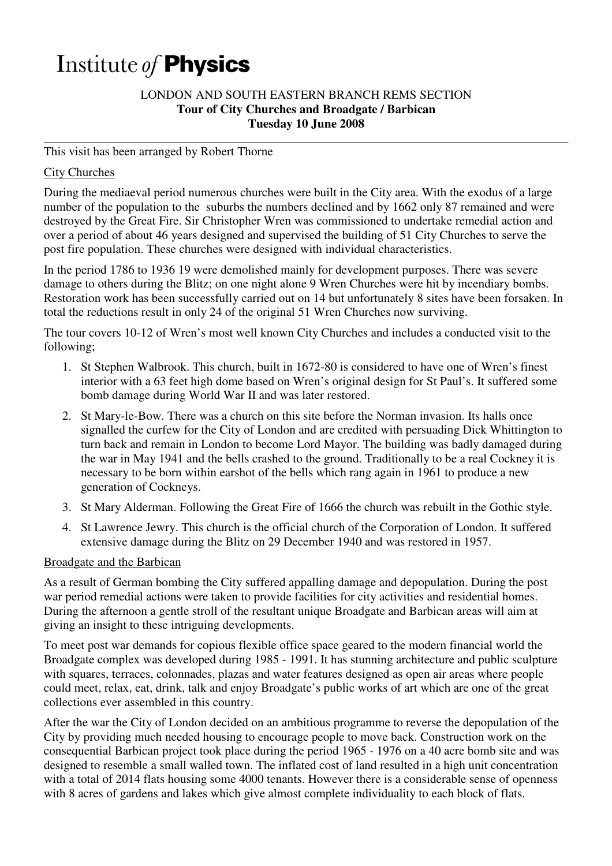# Institute of Physics

## LONDON AND SOUTH EASTERN BRANCH REMS SECTION **Tour of City Churches and Broadgate / Barbican Tuesday 10 June 2008**

**\_\_\_\_\_\_\_\_\_\_\_\_\_\_\_\_\_\_\_\_\_\_\_\_\_\_\_\_\_\_\_\_\_\_\_\_\_\_\_\_\_\_\_\_\_\_\_\_\_\_\_\_\_\_\_\_\_\_\_\_\_\_\_\_\_\_\_\_\_\_\_\_\_\_\_\_\_\_\_\_\_\_\_\_\_** 

## This visit has been arranged by Robert Thorne

## City Churches

During the mediaeval period numerous churches were built in the City area. With the exodus of a large number of the population to the suburbs the numbers declined and by 1662 only 87 remained and were destroyed by the Great Fire. Sir Christopher Wren was commissioned to undertake remedial action and over a period of about 46 years designed and supervised the building of 51 City Churches to serve the post fire population. These churches were designed with individual characteristics.

In the period 1786 to 1936 19 were demolished mainly for development purposes. There was severe damage to others during the Blitz; on one night alone 9 Wren Churches were hit by incendiary bombs. Restoration work has been successfully carried out on 14 but unfortunately 8 sites have been forsaken. In total the reductions result in only 24 of the original 51 Wren Churches now surviving.

The tour covers 10-12 of Wren's most well known City Churches and includes a conducted visit to the following;

- 1. St Stephen Walbrook. This church, built in 1672-80 is considered to have one of Wren's finest interior with a 63 feet high dome based on Wren's original design for St Paul's. It suffered some bomb damage during World War II and was later restored.
- 2. St Mary-le-Bow. There was a church on this site before the Norman invasion. Its halls once signalled the curfew for the City of London and are credited with persuading Dick Whittington to turn back and remain in London to become Lord Mayor. The building was badly damaged during the war in May 1941 and the bells crashed to the ground. Traditionally to be a real Cockney it is necessary to be born within earshot of the bells which rang again in 1961 to produce a new generation of Cockneys.
- 3. St Mary Alderman. Following the Great Fire of 1666 the church was rebuilt in the Gothic style.
- 4. St Lawrence Jewry. This church is the official church of the Corporation of London. It suffered extensive damage during the Blitz on 29 December 1940 and was restored in 1957.

#### Broadgate and the Barbican

As a result of German bombing the City suffered appalling damage and depopulation. During the post war period remedial actions were taken to provide facilities for city activities and residential homes. During the afternoon a gentle stroll of the resultant unique Broadgate and Barbican areas will aim at giving an insight to these intriguing developments.

To meet post war demands for copious flexible office space geared to the modern financial world the Broadgate complex was developed during 1985 - 1991. It has stunning architecture and public sculpture with squares, terraces, colonnades, plazas and water features designed as open air areas where people could meet, relax, eat, drink, talk and enjoy Broadgate's public works of art which are one of the great collections ever assembled in this country.

After the war the City of London decided on an ambitious programme to reverse the depopulation of the City by providing much needed housing to encourage people to move back. Construction work on the consequential Barbican project took place during the period 1965 - 1976 on a 40 acre bomb site and was designed to resemble a small walled town. The inflated cost of land resulted in a high unit concentration with a total of 2014 flats housing some 4000 tenants. However there is a considerable sense of openness with 8 acres of gardens and lakes which give almost complete individuality to each block of flats.